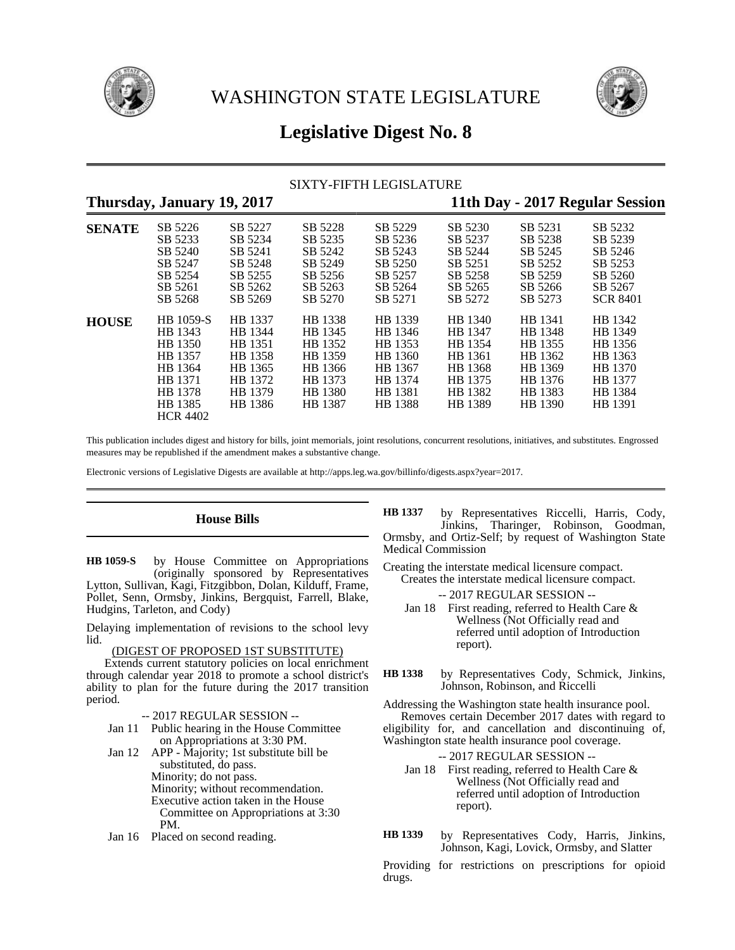



# **Legislative Digest No. 8**

### SIXTY-FIFTH LEGISLATURE

## **Thursday, January 19, 2017 11th Day - 2017 Regular Session**

| <b>SENATE</b> | SB 5226         | SB 5227 | SB 5228 | SB 5229 | SB 5230 | SB 5231 | SB 5232         |
|---------------|-----------------|---------|---------|---------|---------|---------|-----------------|
|               | SB 5233         | SB 5234 | SB 5235 | SB 5236 | SB 5237 | SB 5238 | SB 5239         |
|               | SB 5240         | SB 5241 | SB 5242 | SB 5243 | SB 5244 | SB 5245 | SB 5246         |
|               | SB 5247         | SB 5248 | SB 5249 | SB 5250 | SB 5251 | SB 5252 | SB 5253         |
|               | SB 5254         | SB 5255 | SB 5256 | SB 5257 | SB 5258 | SB 5259 | SB 5260         |
|               | SB 5261         | SB 5262 | SB 5263 | SB 5264 | SB 5265 | SB 5266 | SB 5267         |
|               | SB 5268         | SB 5269 | SB 5270 | SB 5271 | SB 5272 | SB 5273 | <b>SCR 8401</b> |
| <b>HOUSE</b>  | HB 1059-S       | HB 1337 | HB 1338 | HB 1339 | HB 1340 | HB 1341 | HB 1342         |
|               | HB 1343         | HB 1344 | HB 1345 | HB 1346 | HB 1347 | HB 1348 | HB 1349         |
|               | HB 1350         | HB 1351 | HB 1352 | HB 1353 | HB 1354 | HB 1355 | HB 1356         |
|               | HB 1357         | HB 1358 | HB 1359 | HB 1360 | HB 1361 | HB 1362 | HB 1363         |
|               | HB 1364         | HB 1365 | HB 1366 | HB 1367 | HB 1368 | HB 1369 | HB 1370         |
|               | HB 1371         | HB 1372 | HB 1373 | HB 1374 | HB 1375 | HB 1376 | HB 1377         |
|               | HB 1378         | HB 1379 | HB 1380 | HB 1381 | HB 1382 | HB 1383 | HB 1384         |
|               | HB 1385         | HB 1386 | HB 1387 | HB 1388 | HB 1389 | HB 1390 | HB 1391         |
|               | <b>HCR 4402</b> |         |         |         |         |         |                 |

This publication includes digest and history for bills, joint memorials, joint resolutions, concurrent resolutions, initiatives, and substitutes. Engrossed measures may be republished if the amendment makes a substantive change.

Electronic versions of Legislative Digests are available at http://apps.leg.wa.gov/billinfo/digests.aspx?year=2017.

### **House Bills**

by House Committee on Appropriations (originally sponsored by Representatives Lytton, Sullivan, Kagi, Fitzgibbon, Dolan, Kilduff, Frame, Pollet, Senn, Ormsby, Jinkins, Bergquist, Farrell, Blake, Hudgins, Tarleton, and Cody) **HB 1059-S**

Delaying implementation of revisions to the school levy lid.

### (DIGEST OF PROPOSED 1ST SUBSTITUTE)

Extends current statutory policies on local enrichment through calendar year 2018 to promote a school district's ability to plan for the future during the 2017 transition period.

### -- 2017 REGULAR SESSION --

- Jan 11 Public hearing in the House Committee on Appropriations at 3:30 PM.
- Jan 12 APP Majority; 1st substitute bill be substituted, do pass. Minority; do not pass. Minority; without recommendation. Executive action taken in the House Committee on Appropriations at 3:30 PM.
- Jan 16 Placed on second reading.
- by Representatives Riccelli, Harris, Cody, Jinkins, Tharinger, Robinson, Goodman, Ormsby, and Ortiz-Self; by request of Washington State Medical Commission **HB 1337**
- Creating the interstate medical licensure compact. Creates the interstate medical licensure compact.

-- 2017 REGULAR SESSION --

- Jan 18 First reading, referred to Health Care & Wellness (Not Officially read and referred until adoption of Introduction report).
- by Representatives Cody, Schmick, Jinkins, Johnson, Robinson, and Riccelli **HB 1338**

Addressing the Washington state health insurance pool. Removes certain December 2017 dates with regard to eligibility for, and cancellation and discontinuing of,

Washington state health insurance pool coverage.

-- 2017 REGULAR SESSION --

- Jan 18 First reading, referred to Health Care & Wellness (Not Officially read and referred until adoption of Introduction report).
- by Representatives Cody, Harris, Jinkins, Johnson, Kagi, Lovick, Ormsby, and Slatter **HB 1339**

Providing for restrictions on prescriptions for opioid drugs.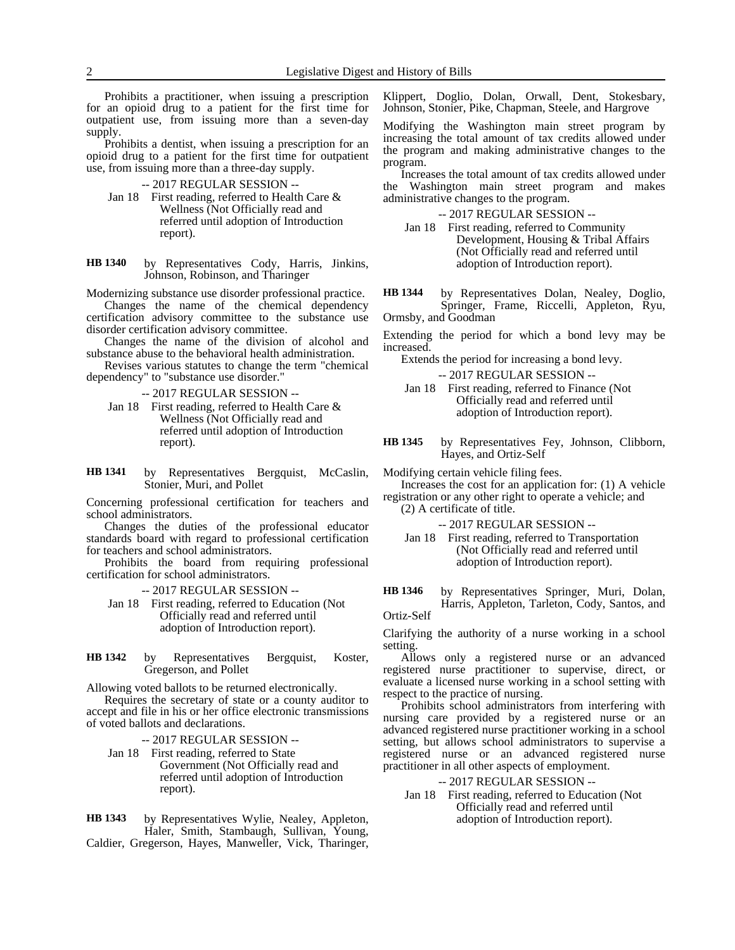Prohibits a practitioner, when issuing a prescription for an opioid drug to a patient for the first time for outpatient use, from issuing more than a seven-day supply.

Prohibits a dentist, when issuing a prescription for an opioid drug to a patient for the first time for outpatient use, from issuing more than a three-day supply.

| $-2017$ REGULAR SESSION $-$ |  |
|-----------------------------|--|
|-----------------------------|--|

- Jan 18 First reading, referred to Health Care & Wellness (Not Officially read and referred until adoption of Introduction report).
- by Representatives Cody, Harris, Jinkins, Johnson, Robinson, and Tharinger **HB 1340**

Modernizing substance use disorder professional practice.

Changes the name of the chemical dependency certification advisory committee to the substance use disorder certification advisory committee.

Changes the name of the division of alcohol and substance abuse to the behavioral health administration.

Revises various statutes to change the term "chemical dependency" to "substance use disorder."

-- 2017 REGULAR SESSION --

- Jan 18 First reading, referred to Health Care & Wellness (Not Officially read and referred until adoption of Introduction report).
- by Representatives Bergquist, McCaslin, Stonier, Muri, and Pollet **HB 1341**

Concerning professional certification for teachers and school administrators.

Changes the duties of the professional educator standards board with regard to professional certification for teachers and school administrators.

Prohibits the board from requiring professional certification for school administrators.

-- 2017 REGULAR SESSION --

- Jan 18 First reading, referred to Education (Not Officially read and referred until adoption of Introduction report).
- by Representatives Bergquist, Koster, Gregerson, and Pollet **HB 1342**

Allowing voted ballots to be returned electronically.

Requires the secretary of state or a county auditor to accept and file in his or her office electronic transmissions of voted ballots and declarations.

-- 2017 REGULAR SESSION --

Jan 18 First reading, referred to State Government (Not Officially read and referred until adoption of Introduction report).

by Representatives Wylie, Nealey, Appleton, Haler, Smith, Stambaugh, Sullivan, Young, Caldier, Gregerson, Hayes, Manweller, Vick, Tharinger, **HB 1343**

Klippert, Doglio, Dolan, Orwall, Dent, Stokesbary, Johnson, Stonier, Pike, Chapman, Steele, and Hargrove

Modifying the Washington main street program by increasing the total amount of tax credits allowed under the program and making administrative changes to the program.

Increases the total amount of tax credits allowed under Washington main street program and makes administrative changes to the program.

-- 2017 REGULAR SESSION --

Jan 18 First reading, referred to Community Development, Housing & Tribal Affairs (Not Officially read and referred until adoption of Introduction report).

by Representatives Dolan, Nealey, Doglio, Springer, Frame, Riccelli, Appleton, Ryu, Ormsby, and Goodman **HB 1344**

Extending the period for which a bond levy may be increased.

Extends the period for increasing a bond levy.

-- 2017 REGULAR SESSION --

Jan 18 First reading, referred to Finance (Not Officially read and referred until adoption of Introduction report).

by Representatives Fey, Johnson, Clibborn, Hayes, and Ortiz-Self **HB 1345**

Modifying certain vehicle filing fees.

Increases the cost for an application for: (1) A vehicle registration or any other right to operate a vehicle; and

- (2) A certificate of title.
	- -- 2017 REGULAR SESSION --
	- Jan 18 First reading, referred to Transportation (Not Officially read and referred until adoption of Introduction report).

by Representatives Springer, Muri, Dolan, Harris, Appleton, Tarleton, Cody, Santos, and Ortiz-Self **HB 1346**

Clarifying the authority of a nurse working in a school setting.

Allows only a registered nurse or an advanced registered nurse practitioner to supervise, direct, or evaluate a licensed nurse working in a school setting with respect to the practice of nursing.

Prohibits school administrators from interfering with nursing care provided by a registered nurse or an advanced registered nurse practitioner working in a school setting, but allows school administrators to supervise a registered nurse or an advanced registered nurse practitioner in all other aspects of employment.

### -- 2017 REGULAR SESSION --

Jan 18 First reading, referred to Education (Not Officially read and referred until adoption of Introduction report).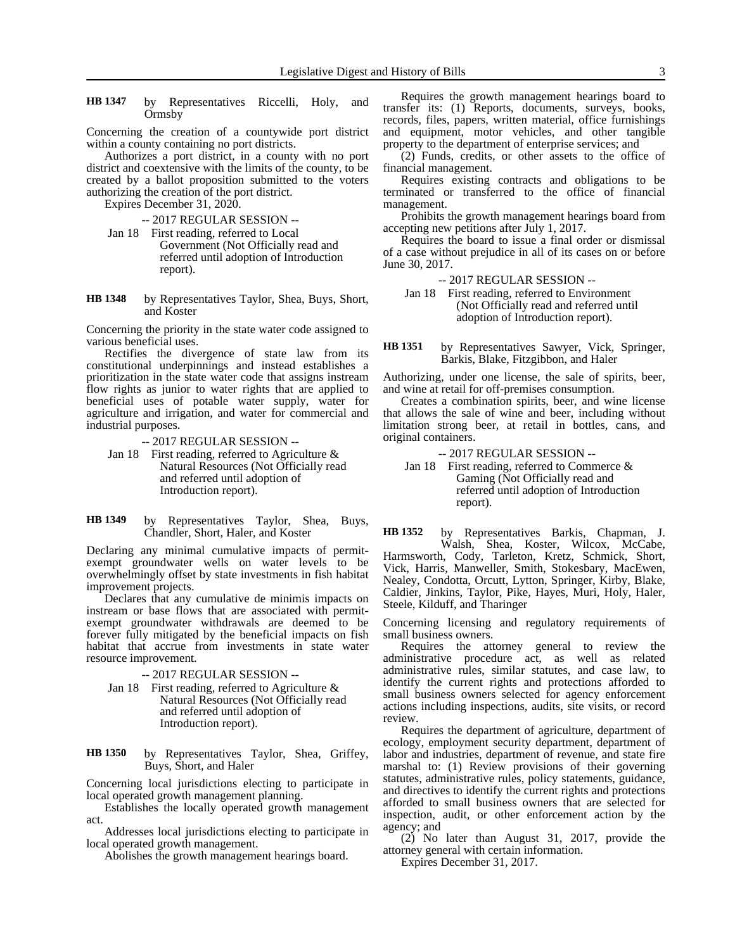by Representatives Riccelli, Holy, and Ormsby **HB 1347**

Concerning the creation of a countywide port district within a county containing no port districts.

Authorizes a port district, in a county with no port district and coextensive with the limits of the county, to be created by a ballot proposition submitted to the voters authorizing the creation of the port district.

Expires December 31, 2020.

-- 2017 REGULAR SESSION --

- Jan 18 First reading, referred to Local Government (Not Officially read and referred until adoption of Introduction report).
- by Representatives Taylor, Shea, Buys, Short, and Koster **HB 1348**

Concerning the priority in the state water code assigned to various beneficial uses.

Rectifies the divergence of state law from its constitutional underpinnings and instead establishes a prioritization in the state water code that assigns instream flow rights as junior to water rights that are applied to beneficial uses of potable water supply, water for agriculture and irrigation, and water for commercial and industrial purposes.

-- 2017 REGULAR SESSION --

Jan 18 First reading, referred to Agriculture  $\&$ Natural Resources (Not Officially read and referred until adoption of Introduction report).

#### by Representatives Taylor, Shea, Buys, Chandler, Short, Haler, and Koster **HB 1349**

Declaring any minimal cumulative impacts of permitexempt groundwater wells on water levels to be overwhelmingly offset by state investments in fish habitat improvement projects.

Declares that any cumulative de minimis impacts on instream or base flows that are associated with permitexempt groundwater withdrawals are deemed to be forever fully mitigated by the beneficial impacts on fish habitat that accrue from investments in state water resource improvement.

-- 2017 REGULAR SESSION --

- Jan 18 First reading, referred to Agriculture & Natural Resources (Not Officially read and referred until adoption of Introduction report).
- by Representatives Taylor, Shea, Griffey, Buys, Short, and Haler **HB 1350**

Concerning local jurisdictions electing to participate in local operated growth management planning.

Establishes the locally operated growth management act.

Addresses local jurisdictions electing to participate in local operated growth management.

Abolishes the growth management hearings board.

Requires the growth management hearings board to transfer its: (1) Reports, documents, surveys, books, records, files, papers, written material, office furnishings and equipment, motor vehicles, and other tangible property to the department of enterprise services; and

(2) Funds, credits, or other assets to the office of financial management.

Requires existing contracts and obligations to be terminated or transferred to the office of financial management.

Prohibits the growth management hearings board from accepting new petitions after July 1, 2017.

Requires the board to issue a final order or dismissal of a case without prejudice in all of its cases on or before June 30, 2017.

-- 2017 REGULAR SESSION --

Jan 18 First reading, referred to Environment (Not Officially read and referred until adoption of Introduction report).

by Representatives Sawyer, Vick, Springer, Barkis, Blake, Fitzgibbon, and Haler **HB 1351**

Authorizing, under one license, the sale of spirits, beer, and wine at retail for off-premises consumption.

Creates a combination spirits, beer, and wine license that allows the sale of wine and beer, including without limitation strong beer, at retail in bottles, cans, and original containers.

- -- 2017 REGULAR SESSION --
- Jan 18 First reading, referred to Commerce  $\&$ Gaming (Not Officially read and referred until adoption of Introduction report).

by Representatives Barkis, Chapman, J. Walsh, Shea, Koster, Wilcox, McCabe, Harmsworth, Cody, Tarleton, Kretz, Schmick, Short, Vick, Harris, Manweller, Smith, Stokesbary, MacEwen, Nealey, Condotta, Orcutt, Lytton, Springer, Kirby, Blake, Caldier, Jinkins, Taylor, Pike, Hayes, Muri, Holy, Haler, Steele, Kilduff, and Tharinger **HB 1352**

Concerning licensing and regulatory requirements of small business owners.

Requires the attorney general to review the administrative procedure act, as well as related administrative rules, similar statutes, and case law, to identify the current rights and protections afforded to small business owners selected for agency enforcement actions including inspections, audits, site visits, or record review.

Requires the department of agriculture, department of ecology, employment security department, department of labor and industries, department of revenue, and state fire marshal to: (1) Review provisions of their governing statutes, administrative rules, policy statements, guidance, and directives to identify the current rights and protections afforded to small business owners that are selected for inspection, audit, or other enforcement action by the agency; and

(2) No later than August 31, 2017, provide the attorney general with certain information.

Expires December 31, 2017.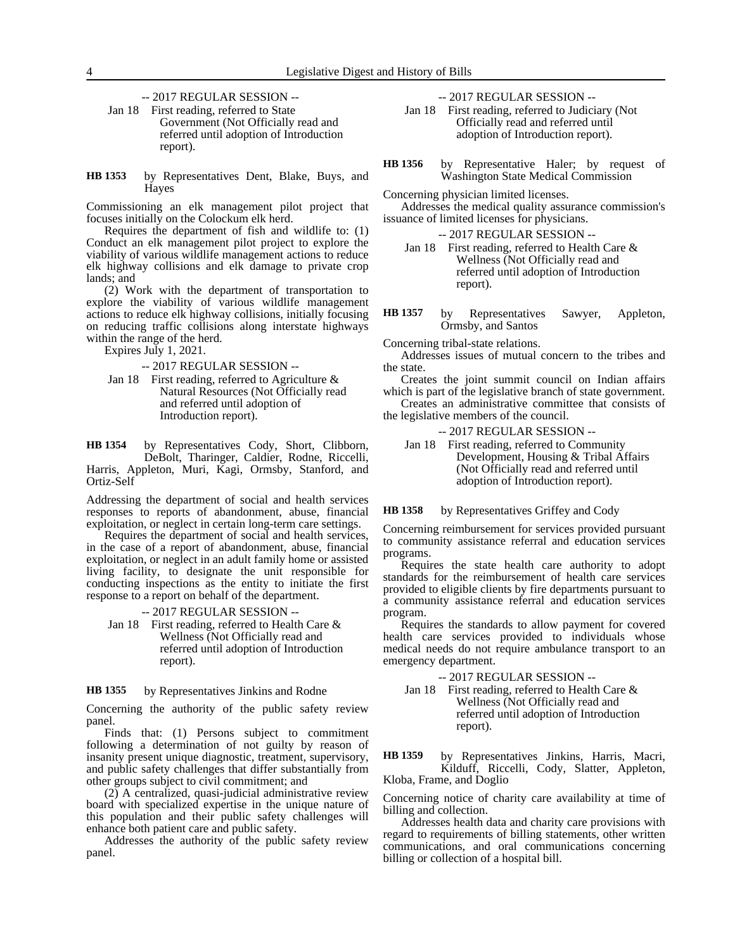-- 2017 REGULAR SESSION --

- Jan 18 First reading, referred to State Government (Not Officially read and referred until adoption of Introduction report).
- by Representatives Dent, Blake, Buys, and Hayes **HB 1353**

Commissioning an elk management pilot project that focuses initially on the Colockum elk herd.

Requires the department of fish and wildlife to: (1) Conduct an elk management pilot project to explore the viability of various wildlife management actions to reduce elk highway collisions and elk damage to private crop lands; and

(2) Work with the department of transportation to explore the viability of various wildlife management actions to reduce elk highway collisions, initially focusing on reducing traffic collisions along interstate highways within the range of the herd.

Expires July 1, 2021.

- -- 2017 REGULAR SESSION --
- Jan 18 First reading, referred to Agriculture & Natural Resources (Not Officially read and referred until adoption of Introduction report).

by Representatives Cody, Short, Clibborn, DeBolt, Tharinger, Caldier, Rodne, Riccelli, Harris, Appleton, Muri, Kagi, Ormsby, Stanford, and Ortiz-Self **HB 1354**

Addressing the department of social and health services responses to reports of abandonment, abuse, financial exploitation, or neglect in certain long-term care settings.

Requires the department of social and health services, in the case of a report of abandonment, abuse, financial exploitation, or neglect in an adult family home or assisted living facility, to designate the unit responsible for conducting inspections as the entity to initiate the first response to a report on behalf of the department.

- -- 2017 REGULAR SESSION --
- Jan 18 First reading, referred to Health Care & Wellness (Not Officially read and referred until adoption of Introduction report).

#### by Representatives Jinkins and Rodne **HB 1355**

Concerning the authority of the public safety review panel.

Finds that: (1) Persons subject to commitment following a determination of not guilty by reason of insanity present unique diagnostic, treatment, supervisory, and public safety challenges that differ substantially from other groups subject to civil commitment; and

(2) A centralized, quasi-judicial administrative review board with specialized expertise in the unique nature of this population and their public safety challenges will enhance both patient care and public safety.

Addresses the authority of the public safety review panel.

-- 2017 REGULAR SESSION --

Jan 18 First reading, referred to Judiciary (Not Officially read and referred until adoption of Introduction report).

by Representative Haler; by request of Washington State Medical Commission **HB 1356**

Concerning physician limited licenses.

Addresses the medical quality assurance commission's issuance of limited licenses for physicians.

-- 2017 REGULAR SESSION --

- Jan 18 First reading, referred to Health Care & Wellness (Not Officially read and referred until adoption of Introduction report).
- by Representatives Sawyer, Appleton, Ormsby, and Santos **HB 1357**

Concerning tribal-state relations.

Addresses issues of mutual concern to the tribes and the state.

Creates the joint summit council on Indian affairs which is part of the legislative branch of state government.

Creates an administrative committee that consists of the legislative members of the council.

-- 2017 REGULAR SESSION --

Jan 18 First reading, referred to Community Development, Housing & Tribal Affairs (Not Officially read and referred until adoption of Introduction report).

by Representatives Griffey and Cody **HB 1358**

Concerning reimbursement for services provided pursuant to community assistance referral and education services programs.

Requires the state health care authority to adopt standards for the reimbursement of health care services provided to eligible clients by fire departments pursuant to a community assistance referral and education services program.

Requires the standards to allow payment for covered health care services provided to individuals whose medical needs do not require ambulance transport to an emergency department.

-- 2017 REGULAR SESSION --

Jan 18 First reading, referred to Health Care & Wellness (Not Officially read and referred until adoption of Introduction report).

by Representatives Jinkins, Harris, Macri, Kilduff, Riccelli, Cody, Slatter, Appleton, Kloba, Frame, and Doglio **HB 1359**

Concerning notice of charity care availability at time of billing and collection.

Addresses health data and charity care provisions with regard to requirements of billing statements, other written communications, and oral communications concerning billing or collection of a hospital bill.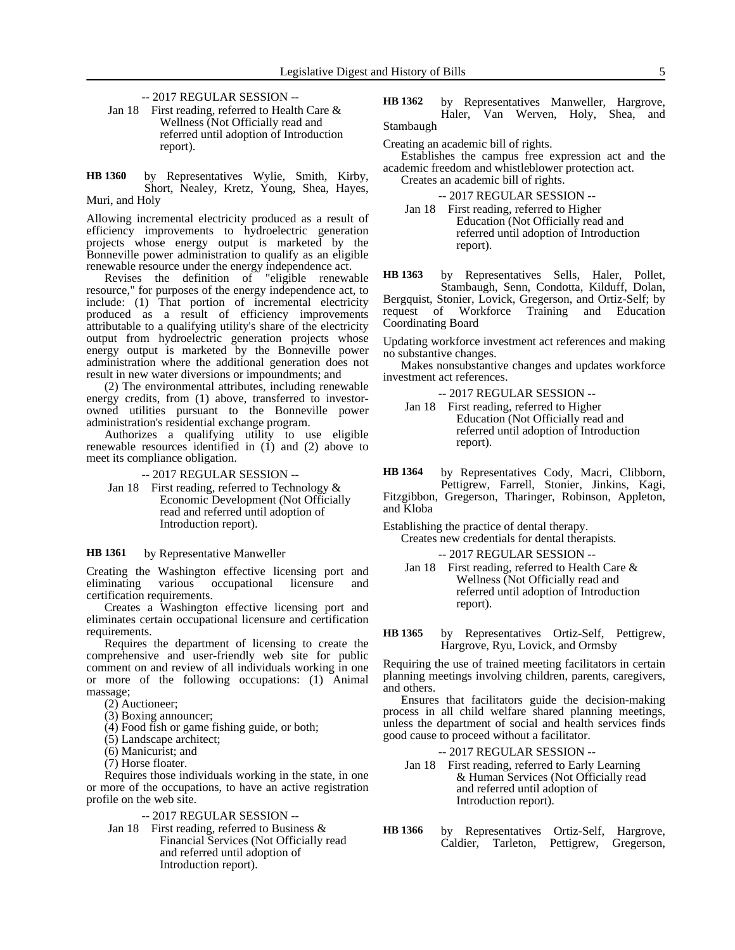-- 2017 REGULAR SESSION --

Jan 18 First reading, referred to Health Care & Wellness (Not Officially read and referred until adoption of Introduction report).

by Representatives Wylie, Smith, Kirby, Short, Nealey, Kretz, Young, Shea, Hayes, Muri, and Holy **HB 1360**

Allowing incremental electricity produced as a result of efficiency improvements to hydroelectric generation projects whose energy output is marketed by the Bonneville power administration to qualify as an eligible renewable resource under the energy independence act.

Revises the definition of "eligible renewable resource," for purposes of the energy independence act, to include: (1) That portion of incremental electricity produced as a result of efficiency improvements attributable to a qualifying utility's share of the electricity output from hydroelectric generation projects whose energy output is marketed by the Bonneville power administration where the additional generation does not result in new water diversions or impoundments; and

(2) The environmental attributes, including renewable energy credits, from (1) above, transferred to investorowned utilities pursuant to the Bonneville power administration's residential exchange program.

Authorizes a qualifying utility to use eligible renewable resources identified in (1) and (2) above to meet its compliance obligation.

-- 2017 REGULAR SESSION --

Jan 18 First reading, referred to Technology & Economic Development (Not Officially read and referred until adoption of Introduction report).

#### by Representative Manweller **HB 1361**

Creating the Washington effective licensing port and eliminating various occupational licensure and certification requirements.

Creates a Washington effective licensing port and eliminates certain occupational licensure and certification requirements.

Requires the department of licensing to create the comprehensive and user-friendly web site for public comment on and review of all individuals working in one or more of the following occupations: (1) Animal massage;

(2) Auctioneer;

- (3) Boxing announcer;
- (4) Food fish or game fishing guide, or both;
- (5) Landscape architect;
- (6) Manicurist; and

(7) Horse floater.

Requires those individuals working in the state, in one or more of the occupations, to have an active registration profile on the web site.

### -- 2017 REGULAR SESSION --

Jan 18 First reading, referred to Business & Financial Services (Not Officially read and referred until adoption of Introduction report).

by Representatives Manweller, Hargrove, Haler, Van Werven, Holy, Shea, and Stambaugh **HB 1362**

Creating an academic bill of rights.

Establishes the campus free expression act and the academic freedom and whistleblower protection act.

Creates an academic bill of rights.

-- 2017 REGULAR SESSION --

Jan 18 First reading, referred to Higher Education (Not Officially read and referred until adoption of Introduction report).

by Representatives Sells, Haler, Pollet, Stambaugh, Senn, Condotta, Kilduff, Dolan, Bergquist, Stonier, Lovick, Gregerson, and Ortiz-Self; by request of Workforce Training and Education Workforce Training and Education Coordinating Board **HB 1363**

Updating workforce investment act references and making no substantive changes.

Makes nonsubstantive changes and updates workforce investment act references.

-- 2017 REGULAR SESSION -- Jan 18 First reading, referred to Higher Education (Not Officially read and referred until adoption of Introduction

by Representatives Cody, Macri, Clibborn, Pettigrew, Farrell, Stonier, Jinkins, Kagi, Fitzgibbon, Gregerson, Tharinger, Robinson, Appleton, and Kloba **HB 1364**

Establishing the practice of dental therapy.

report).

Creates new credentials for dental therapists.

- -- 2017 REGULAR SESSION --
- Jan 18 First reading, referred to Health Care & Wellness (Not Officially read and referred until adoption of Introduction report).
- by Representatives Ortiz-Self, Pettigrew, Hargrove, Ryu, Lovick, and Ormsby **HB 1365**

Requiring the use of trained meeting facilitators in certain planning meetings involving children, parents, caregivers, and others.

Ensures that facilitators guide the decision-making process in all child welfare shared planning meetings, unless the department of social and health services finds good cause to proceed without a facilitator.

-- 2017 REGULAR SESSION --

- Jan 18 First reading, referred to Early Learning & Human Services (Not Officially read and referred until adoption of Introduction report).
- by Representatives Ortiz-Self, Hargrove, Caldier, Tarleton, Pettigrew, Gregerson, **HB 1366**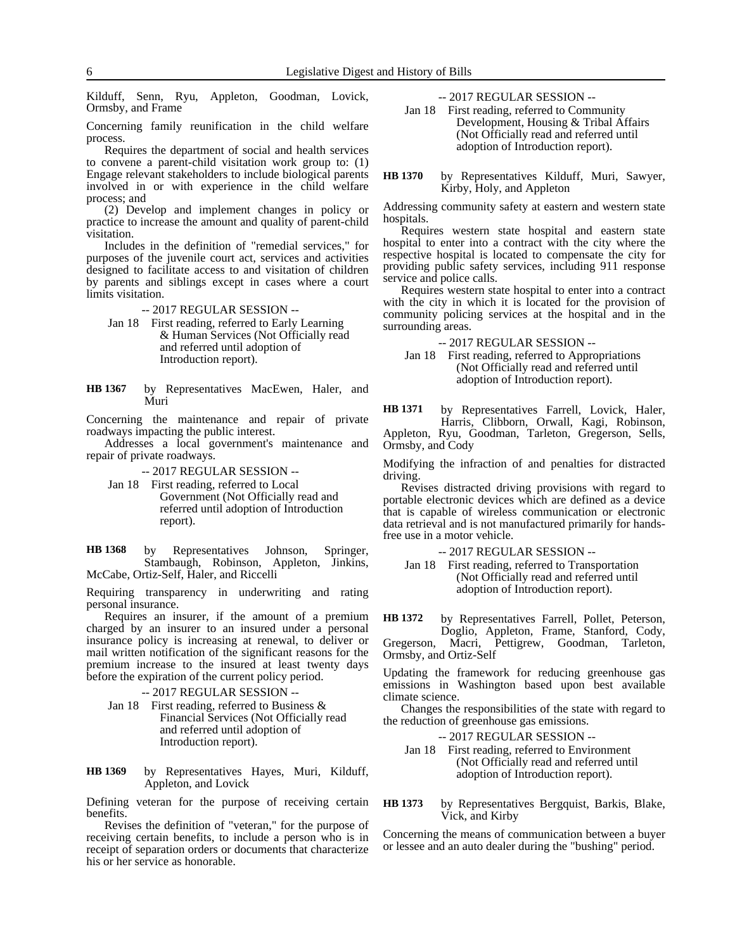Kilduff, Senn, Ryu, Appleton, Goodman, Lovick, Ormsby, and Frame

Concerning family reunification in the child welfare process.

Requires the department of social and health services to convene a parent-child visitation work group to: (1) Engage relevant stakeholders to include biological parents involved in or with experience in the child welfare process; and

(2) Develop and implement changes in policy or practice to increase the amount and quality of parent-child visitation.

Includes in the definition of "remedial services," for purposes of the juvenile court act, services and activities designed to facilitate access to and visitation of children by parents and siblings except in cases where a court limits visitation.

-- 2017 REGULAR SESSION --

- Jan 18 First reading, referred to Early Learning & Human Services (Not Officially read and referred until adoption of Introduction report).
- by Representatives MacEwen, Haler, and Muri **HB 1367**

Concerning the maintenance and repair of private roadways impacting the public interest.

Addresses a local government's maintenance and repair of private roadways.

-- 2017 REGULAR SESSION --

Jan 18 First reading, referred to Local Government (Not Officially read and referred until adoption of Introduction report).

by Representatives Johnson, Springer, Stambaugh, Robinson, Appleton, Jinkins, McCabe, Ortiz-Self, Haler, and Riccelli **HB 1368**

Requiring transparency in underwriting and rating personal insurance.

Requires an insurer, if the amount of a premium charged by an insurer to an insured under a personal insurance policy is increasing at renewal, to deliver or mail written notification of the significant reasons for the premium increase to the insured at least twenty days before the expiration of the current policy period.

-- 2017 REGULAR SESSION --

- Jan 18 First reading, referred to Business & Financial Services (Not Officially read and referred until adoption of Introduction report).
- by Representatives Hayes, Muri, Kilduff, Appleton, and Lovick **HB 1369**

Defining veteran for the purpose of receiving certain benefits.

Revises the definition of "veteran," for the purpose of receiving certain benefits, to include a person who is in receipt of separation orders or documents that characterize his or her service as honorable.

-- 2017 REGULAR SESSION --

Jan 18 First reading, referred to Community Development, Housing & Tribal Affairs (Not Officially read and referred until adoption of Introduction report).

by Representatives Kilduff, Muri, Sawyer, Kirby, Holy, and Appleton **HB 1370**

Addressing community safety at eastern and western state hospitals.

Requires western state hospital and eastern state hospital to enter into a contract with the city where the respective hospital is located to compensate the city for providing public safety services, including 911 response service and police calls.

Requires western state hospital to enter into a contract with the city in which it is located for the provision of community policing services at the hospital and in the surrounding areas.

-- 2017 REGULAR SESSION --

Jan 18 First reading, referred to Appropriations (Not Officially read and referred until adoption of Introduction report).

by Representatives Farrell, Lovick, Haler, Harris, Clibborn, Orwall, Kagi, Robinson, Appleton, Ryu, Goodman, Tarleton, Gregerson, Sells, Ormsby, and Cody **HB 1371**

Modifying the infraction of and penalties for distracted driving.

Revises distracted driving provisions with regard to portable electronic devices which are defined as a device that is capable of wireless communication or electronic data retrieval and is not manufactured primarily for handsfree use in a motor vehicle.

-- 2017 REGULAR SESSION --

Jan 18 First reading, referred to Transportation (Not Officially read and referred until adoption of Introduction report).

by Representatives Farrell, Pollet, Peterson, Doglio, Appleton, Frame, Stanford, Cody, Gregerson, Macri, Pettigrew, Goodman, Tarleton, Ormsby, and Ortiz-Self **HB 1372**

Updating the framework for reducing greenhouse gas emissions in Washington based upon best available climate science.

Changes the responsibilities of the state with regard to the reduction of greenhouse gas emissions.

-- 2017 REGULAR SESSION --

Jan 18 First reading, referred to Environment (Not Officially read and referred until adoption of Introduction report).

by Representatives Bergquist, Barkis, Blake, Vick, and Kirby **HB 1373**

Concerning the means of communication between a buyer or lessee and an auto dealer during the "bushing" period.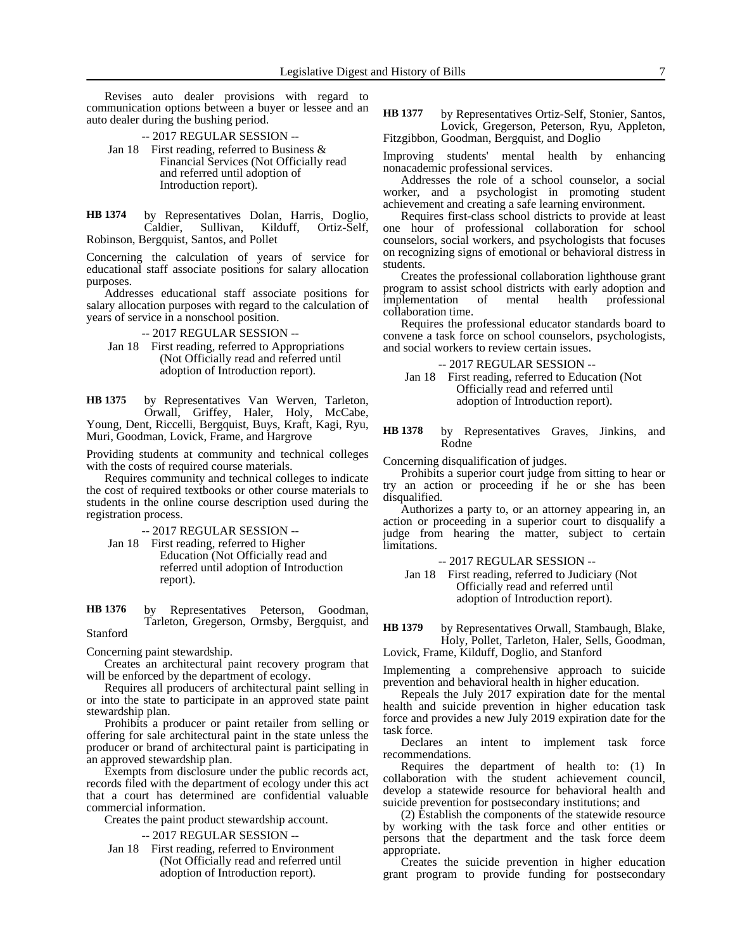Revises auto dealer provisions with regard to communication options between a buyer or lessee and an auto dealer during the bushing period.

-- 2017 REGULAR SESSION --

Jan 18 First reading, referred to Business & Financial Services (Not Officially read and referred until adoption of Introduction report).

by Representatives Dolan, Harris, Doglio, Caldier, Sullivan, Kilduff, Ortiz-Self, Robinson, Bergquist, Santos, and Pollet **HB 1374**

Concerning the calculation of years of service for educational staff associate positions for salary allocation purposes.

Addresses educational staff associate positions for salary allocation purposes with regard to the calculation of years of service in a nonschool position.

-- 2017 REGULAR SESSION --

Jan 18 First reading, referred to Appropriations (Not Officially read and referred until adoption of Introduction report).

by Representatives Van Werven, Tarleton, Orwall, Griffey, Haler, Holy, McCabe, Young, Dent, Riccelli, Bergquist, Buys, Kraft, Kagi, Ryu, Muri, Goodman, Lovick, Frame, and Hargrove **HB 1375**

Providing students at community and technical colleges with the costs of required course materials.

Requires community and technical colleges to indicate the cost of required textbooks or other course materials to students in the online course description used during the registration process.

- -- 2017 REGULAR SESSION --
- Jan 18 First reading, referred to Higher Education (Not Officially read and referred until adoption of Introduction report).

by Representatives Peterson, Goodman, Tarleton, Gregerson, Ormsby, Bergquist, and Stanford **HB 1376**

Concerning paint stewardship.

Creates an architectural paint recovery program that will be enforced by the department of ecology.

Requires all producers of architectural paint selling in or into the state to participate in an approved state paint stewardship plan.

Prohibits a producer or paint retailer from selling or offering for sale architectural paint in the state unless the producer or brand of architectural paint is participating in an approved stewardship plan.

Exempts from disclosure under the public records act, records filed with the department of ecology under this act that a court has determined are confidential valuable commercial information.

Creates the paint product stewardship account.

-- 2017 REGULAR SESSION --

Jan 18 First reading, referred to Environment (Not Officially read and referred until adoption of Introduction report).

by Representatives Ortiz-Self, Stonier, Santos, Lovick, Gregerson, Peterson, Ryu, Appleton, Fitzgibbon, Goodman, Bergquist, and Doglio **HB 1377**

Improving students' mental health by enhancing nonacademic professional services.

Addresses the role of a school counselor, a social worker, and a psychologist in promoting student achievement and creating a safe learning environment.

Requires first-class school districts to provide at least one hour of professional collaboration for school counselors, social workers, and psychologists that focuses on recognizing signs of emotional or behavioral distress in students.

Creates the professional collaboration lighthouse grant program to assist school districts with early adoption and implementation of mental health professional collaboration time.

Requires the professional educator standards board to convene a task force on school counselors, psychologists, and social workers to review certain issues.

-- 2017 REGULAR SESSION --

Jan 18 First reading, referred to Education (Not Officially read and referred until adoption of Introduction report).

by Representatives Graves, Jinkins, and Rodne **HB 1378**

Concerning disqualification of judges.

Prohibits a superior court judge from sitting to hear or try an action or proceeding if he or she has been disqualified.

Authorizes a party to, or an attorney appearing in, an action or proceeding in a superior court to disqualify a judge from hearing the matter, subject to certain limitations.

-- 2017 REGULAR SESSION --

Jan 18 First reading, referred to Judiciary (Not Officially read and referred until adoption of Introduction report).

by Representatives Orwall, Stambaugh, Blake, Holy, Pollet, Tarleton, Haler, Sells, Goodman, Lovick, Frame, Kilduff, Doglio, and Stanford **HB 1379**

Implementing a comprehensive approach to suicide prevention and behavioral health in higher education.

Repeals the July 2017 expiration date for the mental health and suicide prevention in higher education task force and provides a new July 2019 expiration date for the task force.

Declares an intent to implement task force recommendations.

Requires the department of health to: (1) In collaboration with the student achievement council, develop a statewide resource for behavioral health and suicide prevention for postsecondary institutions; and

(2) Establish the components of the statewide resource by working with the task force and other entities or persons that the department and the task force deem appropriate.

Creates the suicide prevention in higher education grant program to provide funding for postsecondary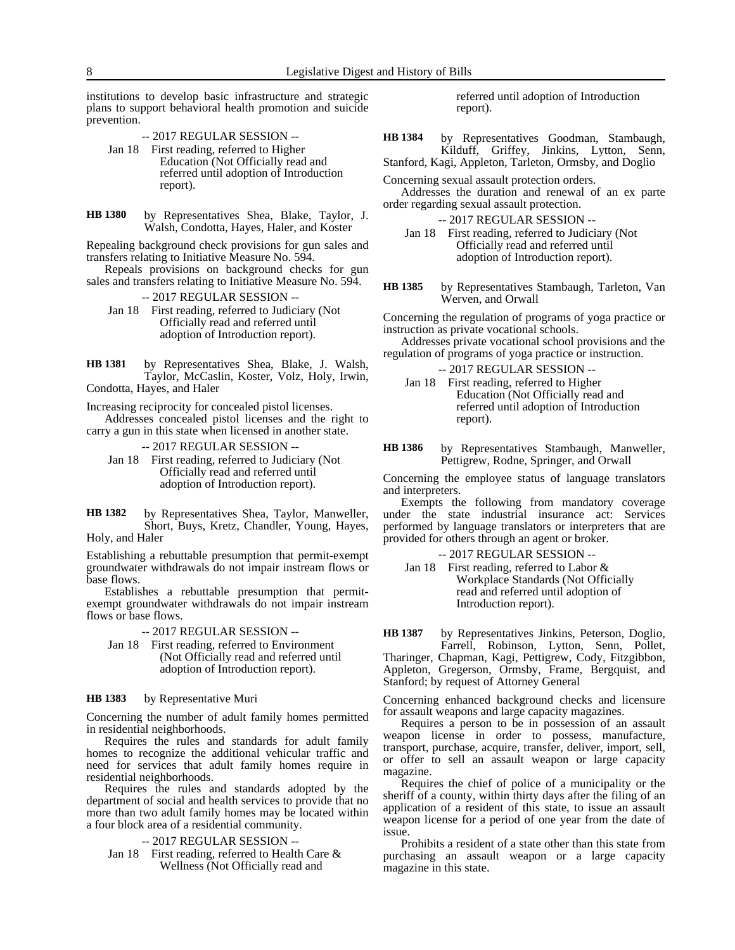institutions to develop basic infrastructure and strategic plans to support behavioral health promotion and suicide prevention.

-- 2017 REGULAR SESSION --

- Jan 18 First reading, referred to Higher Education (Not Officially read and referred until adoption of Introduction report).
- by Representatives Shea, Blake, Taylor, J. Walsh, Condotta, Hayes, Haler, and Koster **HB 1380**

Repealing background check provisions for gun sales and transfers relating to Initiative Measure No. 594.

Repeals provisions on background checks for gun sales and transfers relating to Initiative Measure No. 594.

-- 2017 REGULAR SESSION --

Jan 18 First reading, referred to Judiciary (Not Officially read and referred until adoption of Introduction report).

by Representatives Shea, Blake, J. Walsh, Taylor, McCaslin, Koster, Volz, Holy, Irwin, Condotta, Hayes, and Haler **HB 1381**

Increasing reciprocity for concealed pistol licenses.

Addresses concealed pistol licenses and the right to carry a gun in this state when licensed in another state.

-- 2017 REGULAR SESSION --

- Jan 18 First reading, referred to Judiciary (Not Officially read and referred until adoption of Introduction report).
- by Representatives Shea, Taylor, Manweller, Short, Buys, Kretz, Chandler, Young, Hayes, Holy, and Haler **HB 1382**

Establishing a rebuttable presumption that permit-exempt groundwater withdrawals do not impair instream flows or base flows.

Establishes a rebuttable presumption that permitexempt groundwater withdrawals do not impair instream flows or base flows.

-- 2017 REGULAR SESSION --

Jan 18 First reading, referred to Environment (Not Officially read and referred until adoption of Introduction report).

#### by Representative Muri **HB 1383**

Concerning the number of adult family homes permitted in residential neighborhoods.

Requires the rules and standards for adult family homes to recognize the additional vehicular traffic and need for services that adult family homes require in residential neighborhoods.

Requires the rules and standards adopted by the department of social and health services to provide that no more than two adult family homes may be located within a four block area of a residential community.

-- 2017 REGULAR SESSION --

Jan 18 First reading, referred to Health Care & Wellness (Not Officially read and

referred until adoption of Introduction report).

by Representatives Goodman, Stambaugh, Kilduff, Griffey, Jinkins, Lytton, Senn, **HB 1384**

Stanford, Kagi, Appleton, Tarleton, Ormsby, and Doglio

Concerning sexual assault protection orders.

Addresses the duration and renewal of an ex parte order regarding sexual assault protection.

-- 2017 REGULAR SESSION --

Jan 18 First reading, referred to Judiciary (Not Officially read and referred until adoption of Introduction report).

by Representatives Stambaugh, Tarleton, Van Werven, and Orwall **HB 1385**

Concerning the regulation of programs of yoga practice or instruction as private vocational schools.

- Addresses private vocational school provisions and the regulation of programs of yoga practice or instruction.
	- -- 2017 REGULAR SESSION --
	- Jan 18 First reading, referred to Higher Education (Not Officially read and referred until adoption of Introduction report).
- by Representatives Stambaugh, Manweller, Pettigrew, Rodne, Springer, and Orwall **HB 1386**

Concerning the employee status of language translators and interpreters.

Exempts the following from mandatory coverage under the state industrial insurance act: Services performed by language translators or interpreters that are provided for others through an agent or broker.

-- 2017 REGULAR SESSION --

Jan 18 First reading, referred to Labor & Workplace Standards (Not Officially read and referred until adoption of Introduction report).

by Representatives Jinkins, Peterson, Doglio, Farrell, Robinson, Lytton, Senn, Pollet, **HB 1387**

Tharinger, Chapman, Kagi, Pettigrew, Cody, Fitzgibbon, Appleton, Gregerson, Ormsby, Frame, Bergquist, and Stanford; by request of Attorney General

Concerning enhanced background checks and licensure for assault weapons and large capacity magazines.

Requires a person to be in possession of an assault weapon license in order to possess, manufacture, transport, purchase, acquire, transfer, deliver, import, sell, or offer to sell an assault weapon or large capacity magazine.

Requires the chief of police of a municipality or the sheriff of a county, within thirty days after the filing of an application of a resident of this state, to issue an assault weapon license for a period of one year from the date of issue.

Prohibits a resident of a state other than this state from purchasing an assault weapon or a large capacity magazine in this state.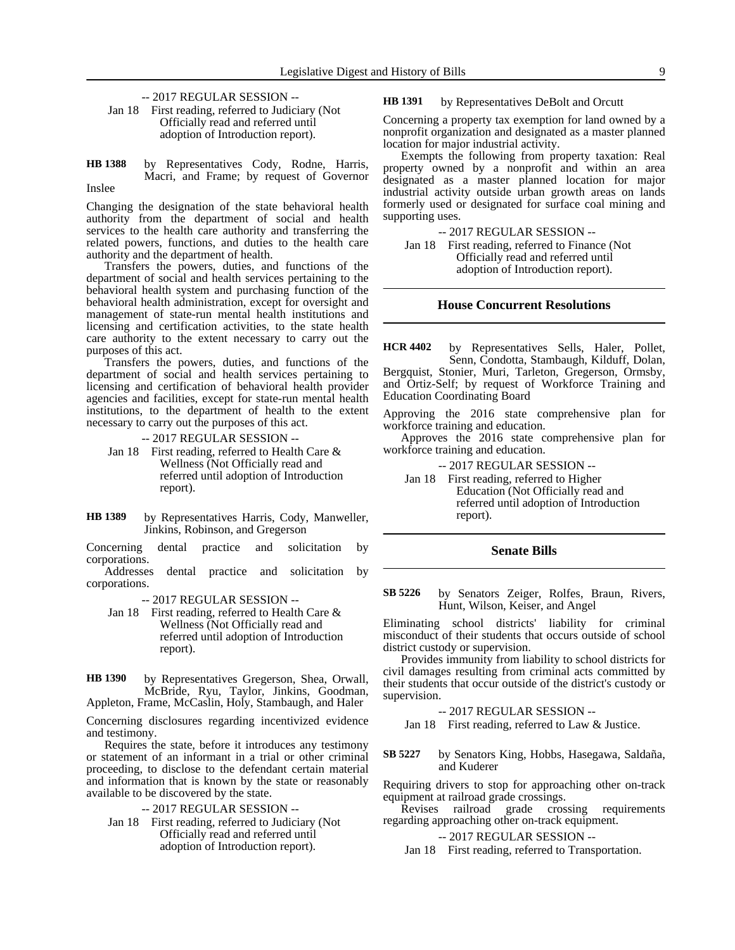-- 2017 REGULAR SESSION --

Jan 18 First reading, referred to Judiciary (Not Officially read and referred until adoption of Introduction report).

by Representatives Cody, Rodne, Harris, Macri, and Frame; by request of Governor Inslee **HB 1388**

Changing the designation of the state behavioral health authority from the department of social and health services to the health care authority and transferring the related powers, functions, and duties to the health care authority and the department of health.

Transfers the powers, duties, and functions of the department of social and health services pertaining to the behavioral health system and purchasing function of the behavioral health administration, except for oversight and management of state-run mental health institutions and licensing and certification activities, to the state health care authority to the extent necessary to carry out the purposes of this act.

Transfers the powers, duties, and functions of the department of social and health services pertaining to licensing and certification of behavioral health provider agencies and facilities, except for state-run mental health institutions, to the department of health to the extent necessary to carry out the purposes of this act.

-- 2017 REGULAR SESSION --

- Jan 18 First reading, referred to Health Care & Wellness (Not Officially read and referred until adoption of Introduction report).
- by Representatives Harris, Cody, Manweller, Jinkins, Robinson, and Gregerson **HB 1389**

Concerning dental practice and solicitation by corporations.

Addresses dental practice and solicitation by corporations.

-- 2017 REGULAR SESSION --

Jan 18 First reading, referred to Health Care & Wellness (Not Officially read and referred until adoption of Introduction report).

by Representatives Gregerson, Shea, Orwall, McBride, Ryu, Taylor, Jinkins, Goodman, **HB 1390**

Appleton, Frame, McCaslin, Holy, Stambaugh, and Haler

Concerning disclosures regarding incentivized evidence and testimony.

Requires the state, before it introduces any testimony or statement of an informant in a trial or other criminal proceeding, to disclose to the defendant certain material and information that is known by the state or reasonably available to be discovered by the state.

-- 2017 REGULAR SESSION --

Jan 18 First reading, referred to Judiciary (Not Officially read and referred until adoption of Introduction report).

by Representatives DeBolt and Orcutt **HB 1391**

Concerning a property tax exemption for land owned by a nonprofit organization and designated as a master planned location for major industrial activity.

Exempts the following from property taxation: Real property owned by a nonprofit and within an area designated as a master planned location for major industrial activity outside urban growth areas on lands formerly used or designated for surface coal mining and supporting uses.

-- 2017 REGULAR SESSION --

Jan 18 First reading, referred to Finance (Not Officially read and referred until adoption of Introduction report).

### **House Concurrent Resolutions**

by Representatives Sells, Haler, Pollet, Senn, Condotta, Stambaugh, Kilduff, Dolan, Bergquist, Stonier, Muri, Tarleton, Gregerson, Ormsby, and Ortiz-Self; by request of Workforce Training and Education Coordinating Board **HCR 4402**

Approving the 2016 state comprehensive plan for workforce training and education.

Approves the 2016 state comprehensive plan for workforce training and education.

-- 2017 REGULAR SESSION --

Jan 18 First reading, referred to Higher Education (Not Officially read and referred until adoption of Introduction report).

### **Senate Bills**

by Senators Zeiger, Rolfes, Braun, Rivers, Hunt, Wilson, Keiser, and Angel **SB 5226**

Eliminating school districts' liability for criminal misconduct of their students that occurs outside of school district custody or supervision.

Provides immunity from liability to school districts for civil damages resulting from criminal acts committed by their students that occur outside of the district's custody or supervision.

-- 2017 REGULAR SESSION --

Jan 18 First reading, referred to Law & Justice.

by Senators King, Hobbs, Hasegawa, Saldaña, and Kuderer **SB 5227**

Requiring drivers to stop for approaching other on-track equipment at railroad grade crossings.

Revises railroad grade crossing requirements regarding approaching other on-track equipment.

### -- 2017 REGULAR SESSION --

Jan 18 First reading, referred to Transportation.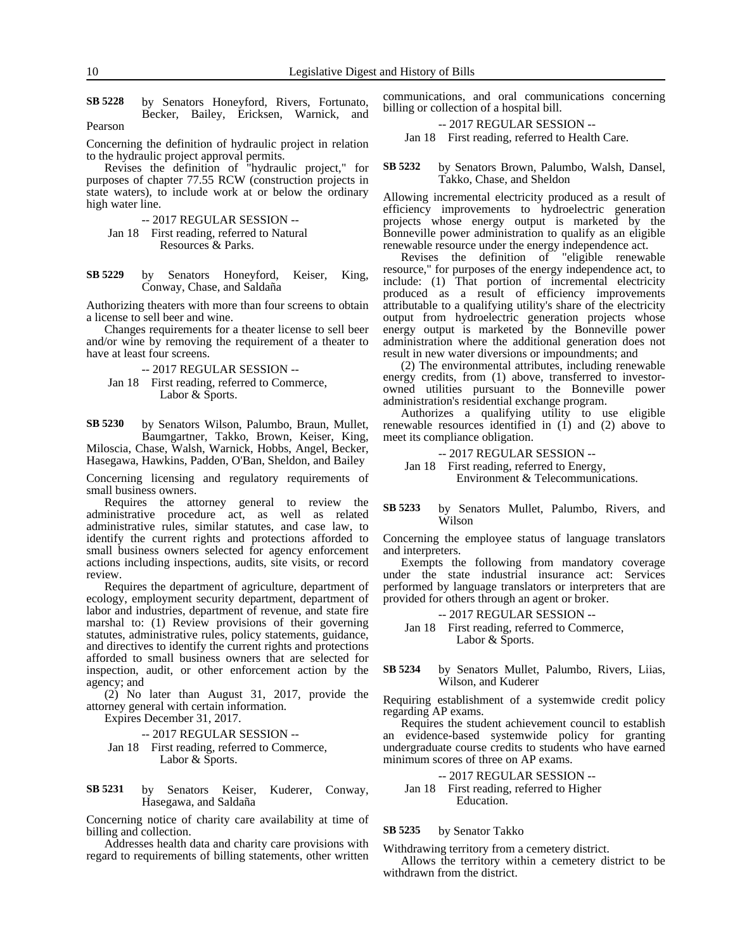by Senators Honeyford, Rivers, Fortunato, Becker, Bailey, Ericksen, Warnick, and Pearson **SB 5228**

Concerning the definition of hydraulic project in relation to the hydraulic project approval permits.

Revises the definition of "hydraulic project," for purposes of chapter 77.55 RCW (construction projects in state waters), to include work at or below the ordinary high water line.

-- 2017 REGULAR SESSION --

- Jan 18 First reading, referred to Natural Resources & Parks.
- by Senators Honeyford, Keiser, King, Conway, Chase, and Saldaña **SB 5229**

Authorizing theaters with more than four screens to obtain a license to sell beer and wine.

Changes requirements for a theater license to sell beer and/or wine by removing the requirement of a theater to have at least four screens.

- -- 2017 REGULAR SESSION --
- Jan 18 First reading, referred to Commerce, Labor & Sports.

by Senators Wilson, Palumbo, Braun, Mullet, Baumgartner, Takko, Brown, Keiser, King, Miloscia, Chase, Walsh, Warnick, Hobbs, Angel, Becker, Hasegawa, Hawkins, Padden, O'Ban, Sheldon, and Bailey **SB 5230**

Concerning licensing and regulatory requirements of small business owners.

Requires the attorney general to review the administrative procedure act, as well as related administrative rules, similar statutes, and case law, to identify the current rights and protections afforded to small business owners selected for agency enforcement actions including inspections, audits, site visits, or record review.

Requires the department of agriculture, department of ecology, employment security department, department of labor and industries, department of revenue, and state fire marshal to: (1) Review provisions of their governing statutes, administrative rules, policy statements, guidance, and directives to identify the current rights and protections afforded to small business owners that are selected for inspection, audit, or other enforcement action by the agency; and

(2) No later than August 31, 2017, provide the attorney general with certain information.

Expires December 31, 2017.

-- 2017 REGULAR SESSION --

Jan 18 First reading, referred to Commerce, Labor & Sports.

#### by Senators Keiser, Kuderer, Conway, Hasegawa, and Saldaña **SB 5231**

Concerning notice of charity care availability at time of billing and collection.

Addresses health data and charity care provisions with regard to requirements of billing statements, other written communications, and oral communications concerning billing or collection of a hospital bill.

### -- 2017 REGULAR SESSION --

Jan 18 First reading, referred to Health Care.

by Senators Brown, Palumbo, Walsh, Dansel, Takko, Chase, and Sheldon **SB 5232**

Allowing incremental electricity produced as a result of efficiency improvements to hydroelectric generation projects whose energy output is marketed by the Bonneville power administration to qualify as an eligible renewable resource under the energy independence act.

Revises the definition of "eligible renewable resource," for purposes of the energy independence act, to include: (1) That portion of incremental electricity produced as a result of efficiency improvements attributable to a qualifying utility's share of the electricity output from hydroelectric generation projects whose energy output is marketed by the Bonneville power administration where the additional generation does not result in new water diversions or impoundments; and

(2) The environmental attributes, including renewable energy credits, from (1) above, transferred to investorowned utilities pursuant to the Bonneville power administration's residential exchange program.

Authorizes a qualifying utility to use eligible renewable resources identified in  $(1)$  and  $(2)$  above to meet its compliance obligation.

-- 2017 REGULAR SESSION -- Jan 18 First reading, referred to Energy, Environment & Telecommunications.

### by Senators Mullet, Palumbo, Rivers, and Wilson **SB 5233**

Concerning the employee status of language translators and interpreters.

Exempts the following from mandatory coverage under the state industrial insurance act: Services performed by language translators or interpreters that are provided for others through an agent or broker.

-- 2017 REGULAR SESSION -- Jan 18 First reading, referred to Commerce, Labor & Sports.

by Senators Mullet, Palumbo, Rivers, Liias, Wilson, and Kuderer **SB 5234**

Requiring establishment of a systemwide credit policy regarding AP exams.

Requires the student achievement council to establish an evidence-based systemwide policy for granting undergraduate course credits to students who have earned minimum scores of three on AP exams.

-- 2017 REGULAR SESSION --

Jan 18 First reading, referred to Higher Education.

#### by Senator Takko **SB 5235**

Withdrawing territory from a cemetery district.

Allows the territory within a cemetery district to be withdrawn from the district.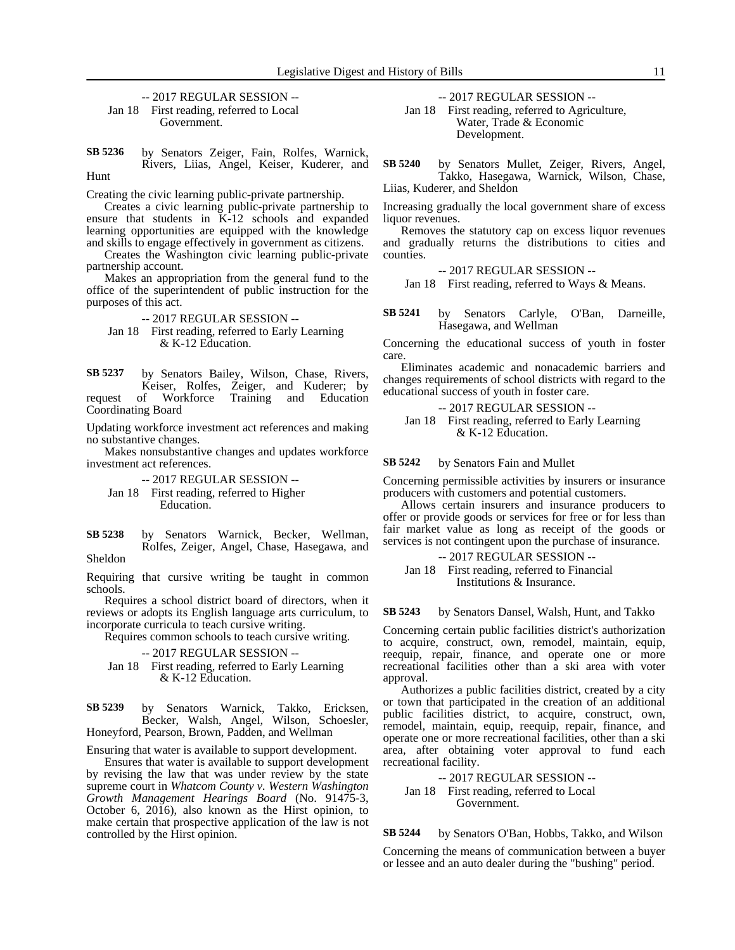-- 2017 REGULAR SESSION -- Jan 18 First reading, referred to Local Government.

by Senators Zeiger, Fain, Rolfes, Warnick, Rivers, Liias, Angel, Keiser, Kuderer, and Hunt **SB 5236**

Creating the civic learning public-private partnership.

Creates a civic learning public-private partnership to ensure that students in K-12 schools and expanded learning opportunities are equipped with the knowledge and skills to engage effectively in government as citizens.

Creates the Washington civic learning public-private partnership account.

Makes an appropriation from the general fund to the office of the superintendent of public instruction for the purposes of this act.

### -- 2017 REGULAR SESSION --

Jan 18 First reading, referred to Early Learning & K-12 Education.

by Senators Bailey, Wilson, Chase, Rivers, Keiser, Rolfes, Zeiger, and Kuderer; by request of Workforce Training and Education Coordinating Board **SB 5237**

Updating workforce investment act references and making no substantive changes.

Makes nonsubstantive changes and updates workforce investment act references.

-- 2017 REGULAR SESSION -- Jan 18 First reading, referred to Higher Education.

by Senators Warnick, Becker, Wellman, Rolfes, Zeiger, Angel, Chase, Hasegawa, and Sheldon **SB 5238**

Requiring that cursive writing be taught in common schools.

Requires a school district board of directors, when it reviews or adopts its English language arts curriculum, to incorporate curricula to teach cursive writing.

Requires common schools to teach cursive writing.

### -- 2017 REGULAR SESSION --

Jan 18 First reading, referred to Early Learning & K-12 Education.

by Senators Warnick, Takko, Ericksen, Becker, Walsh, Angel, Wilson, Schoesler, Honeyford, Pearson, Brown, Padden, and Wellman **SB 5239**

Ensuring that water is available to support development.

Ensures that water is available to support development by revising the law that was under review by the state supreme court in *Whatcom County v. Western Washington Growth Management Hearings Board* (No. 91475-3, October 6, 2016), also known as the Hirst opinion, to make certain that prospective application of the law is not controlled by the Hirst opinion.

-- 2017 REGULAR SESSION --

Jan 18 First reading, referred to Agriculture, Water, Trade & Economic Development.

by Senators Mullet, Zeiger, Rivers, Angel, Takko, Hasegawa, Warnick, Wilson, Chase, Liias, Kuderer, and Sheldon **SB 5240**

Increasing gradually the local government share of excess liquor revenues.

Removes the statutory cap on excess liquor revenues and gradually returns the distributions to cities and counties.

-- 2017 REGULAR SESSION --

Jan 18 First reading, referred to Ways & Means.

by Senators Carlyle, O'Ban, Darneille, Hasegawa, and Wellman **SB 5241**

Concerning the educational success of youth in foster care.

Eliminates academic and nonacademic barriers and changes requirements of school districts with regard to the educational success of youth in foster care.

-- 2017 REGULAR SESSION -- Jan 18 First reading, referred to Early Learning & K-12 Education.

by Senators Fain and Mullet **SB 5242**

Concerning permissible activities by insurers or insurance producers with customers and potential customers.

Allows certain insurers and insurance producers to offer or provide goods or services for free or for less than fair market value as long as receipt of the goods or services is not contingent upon the purchase of insurance.

```
-- 2017 REGULAR SESSION --
Jan 18 First reading, referred to Financial 
          Institutions & Insurance.
```
by Senators Dansel, Walsh, Hunt, and Takko **SB 5243**

Concerning certain public facilities district's authorization to acquire, construct, own, remodel, maintain, equip, reequip, repair, finance, and operate one or more recreational facilities other than a ski area with voter approval.

Authorizes a public facilities district, created by a city or town that participated in the creation of an additional public facilities district, to acquire, construct, own, remodel, maintain, equip, reequip, repair, finance, and operate one or more recreational facilities, other than a ski area, after obtaining voter approval to fund each recreational facility.

-- 2017 REGULAR SESSION -- Jan 18 First reading, referred to Local Government.

by Senators O'Ban, Hobbs, Takko, and Wilson **SB 5244**

Concerning the means of communication between a buyer or lessee and an auto dealer during the "bushing" period.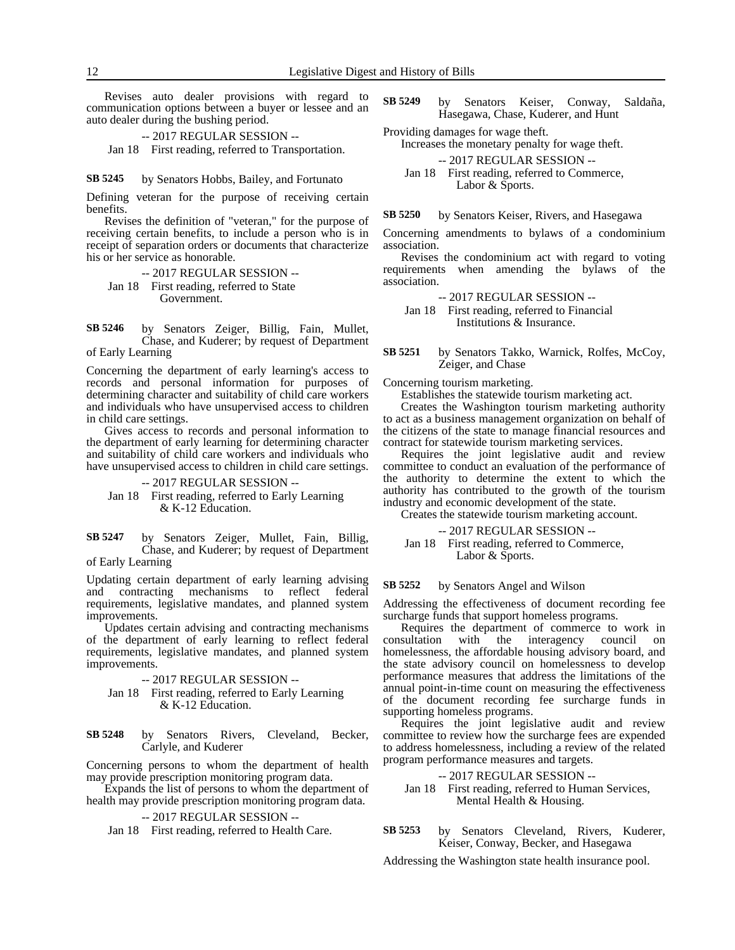Revises auto dealer provisions with regard to communication options between a buyer or lessee and an auto dealer during the bushing period.

-- 2017 REGULAR SESSION -- Jan 18 First reading, referred to Transportation.

#### by Senators Hobbs, Bailey, and Fortunato **SB 5245**

Defining veteran for the purpose of receiving certain benefits.

Revises the definition of "veteran," for the purpose of receiving certain benefits, to include a person who is in receipt of separation orders or documents that characterize his or her service as honorable.

### -- 2017 REGULAR SESSION --

Jan 18 First reading, referred to State Government.

by Senators Zeiger, Billig, Fain, Mullet, Chase, and Kuderer; by request of Department of Early Learning **SB 5246**

Concerning the department of early learning's access to records and personal information for purposes of determining character and suitability of child care workers and individuals who have unsupervised access to children in child care settings.

Gives access to records and personal information to the department of early learning for determining character and suitability of child care workers and individuals who have unsupervised access to children in child care settings.

### -- 2017 REGULAR SESSION -- Jan 18 First reading, referred to Early Learning & K-12 Education.

by Senators Zeiger, Mullet, Fain, Billig, Chase, and Kuderer; by request of Department of Early Learning **SB 5247**

Updating certain department of early learning advising and contracting mechanisms to reflect federal requirements, legislative mandates, and planned system improvements.

Updates certain advising and contracting mechanisms of the department of early learning to reflect federal requirements, legislative mandates, and planned system improvements.

-- 2017 REGULAR SESSION --

- Jan 18 First reading, referred to Early Learning & K-12 Education.
- by Senators Rivers, Cleveland, Becker, Carlyle, and Kuderer **SB 5248**

Concerning persons to whom the department of health may provide prescription monitoring program data.

Expands the list of persons to whom the department of health may provide prescription monitoring program data.

### -- 2017 REGULAR SESSION --

Jan 18 First reading, referred to Health Care.

- by Senators Keiser, Conway, Saldaña, Hasegawa, Chase, Kuderer, and Hunt **SB 5249**
- Providing damages for wage theft.

Increases the monetary penalty for wage theft.

- -- 2017 REGULAR SESSION --
- Jan 18 First reading, referred to Commerce, Labor & Sports.

by Senators Keiser, Rivers, and Hasegawa **SB 5250**

Concerning amendments to bylaws of a condominium association.

Revises the condominium act with regard to voting requirements when amending the bylaws of the association.

-- 2017 REGULAR SESSION --

Jan 18 First reading, referred to Financial Institutions & Insurance.

#### by Senators Takko, Warnick, Rolfes, McCoy, Zeiger, and Chase **SB 5251**

Concerning tourism marketing.

Establishes the statewide tourism marketing act.

Creates the Washington tourism marketing authority to act as a business management organization on behalf of the citizens of the state to manage financial resources and contract for statewide tourism marketing services.

Requires the joint legislative audit and review committee to conduct an evaluation of the performance of the authority to determine the extent to which the authority has contributed to the growth of the tourism industry and economic development of the state.

Creates the statewide tourism marketing account.

-- 2017 REGULAR SESSION --

Jan 18 First reading, referred to Commerce, Labor & Sports.

by Senators Angel and Wilson **SB 5252**

Addressing the effectiveness of document recording fee surcharge funds that support homeless programs.

Requires the department of commerce to work in consultation with the interagency council on homelessness, the affordable housing advisory board, and the state advisory council on homelessness to develop performance measures that address the limitations of the annual point-in-time count on measuring the effectiveness of the document recording fee surcharge funds in supporting homeless programs.

Requires the joint legislative audit and review committee to review how the surcharge fees are expended to address homelessness, including a review of the related program performance measures and targets.

-- 2017 REGULAR SESSION --

- Jan 18 First reading, referred to Human Services, Mental Health & Housing.
- by Senators Cleveland, Rivers, Kuderer, Keiser, Conway, Becker, and Hasegawa **SB 5253**

Addressing the Washington state health insurance pool.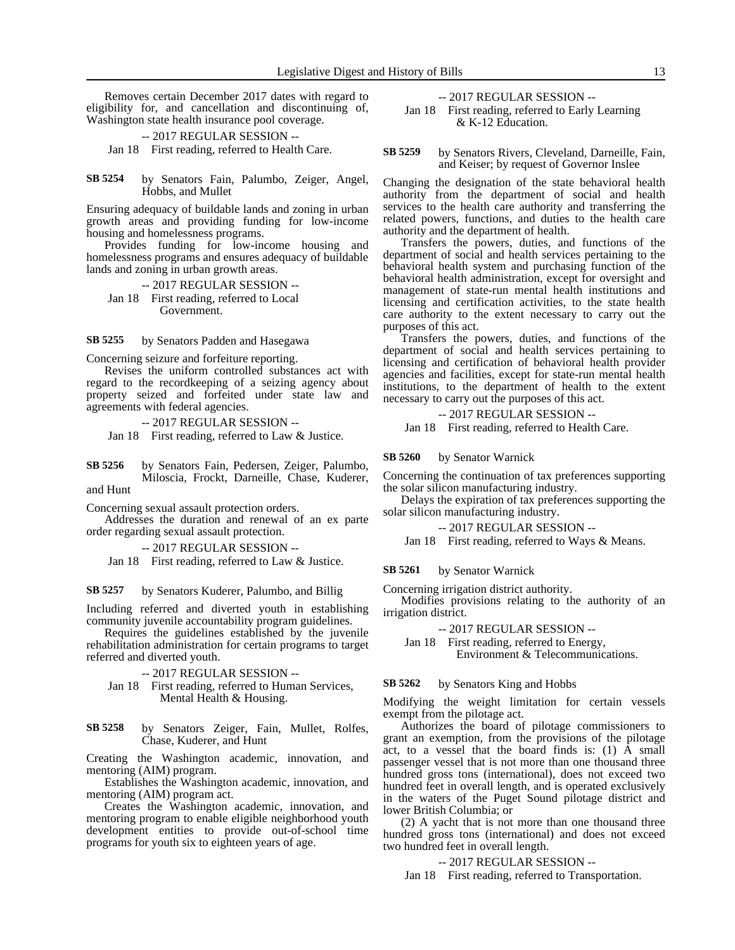Removes certain December 2017 dates with regard to eligibility for, and cancellation and discontinuing of, Washington state health insurance pool coverage.

-- 2017 REGULAR SESSION --

Jan 18 First reading, referred to Health Care.

by Senators Fain, Palumbo, Zeiger, Angel, Hobbs, and Mullet **SB 5254**

Ensuring adequacy of buildable lands and zoning in urban growth areas and providing funding for low-income housing and homelessness programs.

Provides funding for low-income housing and homelessness programs and ensures adequacy of buildable lands and zoning in urban growth areas.

-- 2017 REGULAR SESSION -- Jan 18 First reading, referred to Local Government.

by Senators Padden and Hasegawa **SB 5255**

Concerning seizure and forfeiture reporting.

Revises the uniform controlled substances act with regard to the recordkeeping of a seizing agency about property seized and forfeited under state law and agreements with federal agencies.

-- 2017 REGULAR SESSION --

Jan 18 First reading, referred to Law & Justice.

by Senators Fain, Pedersen, Zeiger, Palumbo, Miloscia, Frockt, Darneille, Chase, Kuderer, and Hunt **SB 5256**

Concerning sexual assault protection orders.

Addresses the duration and renewal of an ex parte order regarding sexual assault protection.

-- 2017 REGULAR SESSION --

Jan 18 First reading, referred to Law & Justice.

by Senators Kuderer, Palumbo, and Billig **SB 5257**

Including referred and diverted youth in establishing community juvenile accountability program guidelines.

Requires the guidelines established by the juvenile rehabilitation administration for certain programs to target referred and diverted youth.

-- 2017 REGULAR SESSION --

- Jan 18 First reading, referred to Human Services, Mental Health & Housing.
- by Senators Zeiger, Fain, Mullet, Rolfes, Chase, Kuderer, and Hunt **SB 5258**

Creating the Washington academic, innovation, and mentoring (AIM) program.

Establishes the Washington academic, innovation, and mentoring (AIM) program act.

Creates the Washington academic, innovation, and mentoring program to enable eligible neighborhood youth development entities to provide out-of-school time programs for youth six to eighteen years of age.

### -- 2017 REGULAR SESSION --

Jan 18 First reading, referred to Early Learning & K-12 Education.

by Senators Rivers, Cleveland, Darneille, Fain, and Keiser; by request of Governor Inslee **SB 5259**

Changing the designation of the state behavioral health authority from the department of social and health services to the health care authority and transferring the related powers, functions, and duties to the health care authority and the department of health.

Transfers the powers, duties, and functions of the department of social and health services pertaining to the behavioral health system and purchasing function of the behavioral health administration, except for oversight and management of state-run mental health institutions and licensing and certification activities, to the state health care authority to the extent necessary to carry out the purposes of this act.

Transfers the powers, duties, and functions of the department of social and health services pertaining to licensing and certification of behavioral health provider agencies and facilities, except for state-run mental health institutions, to the department of health to the extent necessary to carry out the purposes of this act.

-- 2017 REGULAR SESSION --

Jan 18 First reading, referred to Health Care.

by Senator Warnick **SB 5260**

Concerning the continuation of tax preferences supporting the solar silicon manufacturing industry.

Delays the expiration of tax preferences supporting the solar silicon manufacturing industry.

-- 2017 REGULAR SESSION --

Jan 18 First reading, referred to Ways & Means.

by Senator Warnick **SB 5261**

Concerning irrigation district authority.

Modifies provisions relating to the authority of an irrigation district.

-- 2017 REGULAR SESSION --

Jan 18 First reading, referred to Energy, Environment & Telecommunications.

by Senators King and Hobbs **SB 5262**

Modifying the weight limitation for certain vessels exempt from the pilotage act.

Authorizes the board of pilotage commissioners to grant an exemption, from the provisions of the pilotage act, to a vessel that the board finds is: (1) A small passenger vessel that is not more than one thousand three hundred gross tons (international), does not exceed two hundred feet in overall length, and is operated exclusively in the waters of the Puget Sound pilotage district and lower British Columbia; or

(2) A yacht that is not more than one thousand three hundred gross tons (international) and does not exceed two hundred feet in overall length.

-- 2017 REGULAR SESSION --

Jan 18 First reading, referred to Transportation.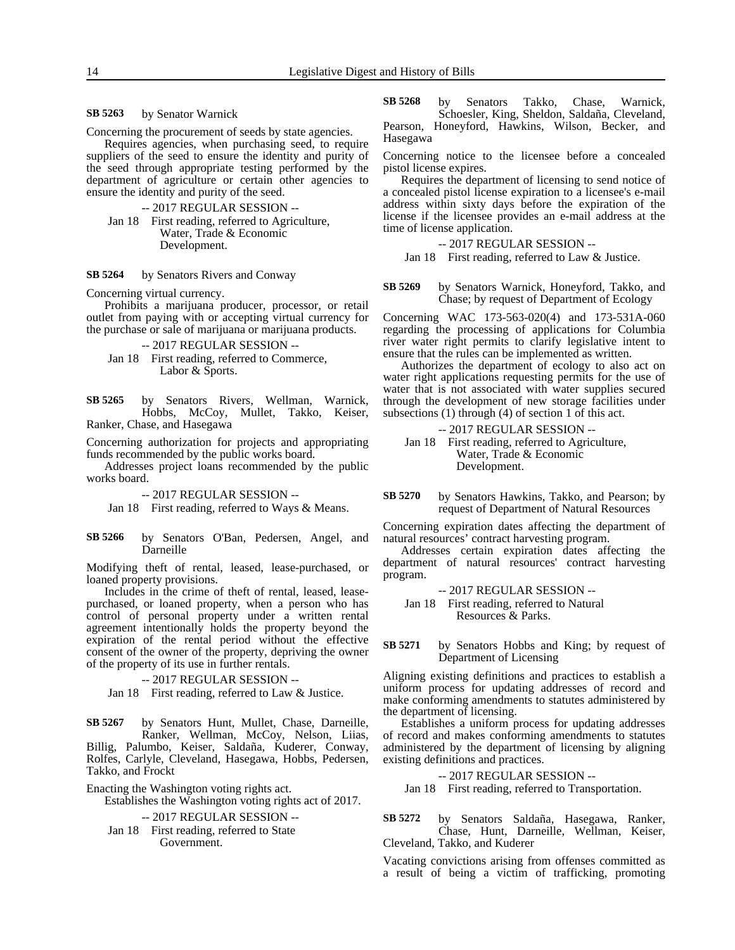by Senator Warnick **SB 5263**

Concerning the procurement of seeds by state agencies.

Requires agencies, when purchasing seed, to require suppliers of the seed to ensure the identity and purity of the seed through appropriate testing performed by the department of agriculture or certain other agencies to ensure the identity and purity of the seed.

-- 2017 REGULAR SESSION -- Jan 18 First reading, referred to Agriculture, Water, Trade & Economic Development.

#### by Senators Rivers and Conway **SB 5264**

Concerning virtual currency.

Prohibits a marijuana producer, processor, or retail outlet from paying with or accepting virtual currency for the purchase or sale of marijuana or marijuana products.

-- 2017 REGULAR SESSION --

Jan 18 First reading, referred to Commerce, Labor & Sports.

by Senators Rivers, Wellman, Warnick, Hobbs, McCoy, Mullet, Takko, Keiser, Ranker, Chase, and Hasegawa **SB 5265**

Concerning authorization for projects and appropriating funds recommended by the public works board.

Addresses project loans recommended by the public works board.

-- 2017 REGULAR SESSION --

Jan 18 First reading, referred to Ways & Means.

by Senators O'Ban, Pedersen, Angel, and Darneille **SB 5266**

Modifying theft of rental, leased, lease-purchased, or loaned property provisions.

Includes in the crime of theft of rental, leased, leasepurchased, or loaned property, when a person who has control of personal property under a written rental agreement intentionally holds the property beyond the expiration of the rental period without the effective consent of the owner of the property, depriving the owner of the property of its use in further rentals.

-- 2017 REGULAR SESSION --

Jan 18 First reading, referred to Law & Justice.

by Senators Hunt, Mullet, Chase, Darneille, Ranker, Wellman, McCoy, Nelson, Liias, Billig, Palumbo, Keiser, Saldaña, Kuderer, Conway, Rolfes, Carlyle, Cleveland, Hasegawa, Hobbs, Pedersen, Takko, and Frockt **SB 5267**

Enacting the Washington voting rights act.

Establishes the Washington voting rights act of 2017.

-- 2017 REGULAR SESSION --

Jan 18 First reading, referred to State Government.

by Senators Takko, Chase, Warnick, Schoesler, King, Sheldon, Saldaña, Cleveland, Pearson, Honeyford, Hawkins, Wilson, Becker, and Hasegawa **SB 5268**

Concerning notice to the licensee before a concealed pistol license expires.

Requires the department of licensing to send notice of a concealed pistol license expiration to a licensee's e-mail address within sixty days before the expiration of the license if the licensee provides an e-mail address at the time of license application.

-- 2017 REGULAR SESSION --

Jan 18 First reading, referred to Law & Justice.

by Senators Warnick, Honeyford, Takko, and Chase; by request of Department of Ecology **SB 5269**

Concerning WAC 173-563-020(4) and 173-531A-060 regarding the processing of applications for Columbia river water right permits to clarify legislative intent to ensure that the rules can be implemented as written.

Authorizes the department of ecology to also act on water right applications requesting permits for the use of water that is not associated with water supplies secured through the development of new storage facilities under subsections (1) through (4) of section 1 of this act.

-- 2017 REGULAR SESSION --

Jan 18 First reading, referred to Agriculture, Water, Trade & Economic Development.

by Senators Hawkins, Takko, and Pearson; by request of Department of Natural Resources **SB 5270**

Concerning expiration dates affecting the department of natural resources' contract harvesting program.

Addresses certain expiration dates affecting the department of natural resources' contract harvesting program.

-- 2017 REGULAR SESSION --

Jan 18 First reading, referred to Natural Resources & Parks.

by Senators Hobbs and King; by request of Department of Licensing **SB 5271**

Aligning existing definitions and practices to establish a uniform process for updating addresses of record and make conforming amendments to statutes administered by the department of licensing.

Establishes a uniform process for updating addresses of record and makes conforming amendments to statutes administered by the department of licensing by aligning existing definitions and practices.

-- 2017 REGULAR SESSION -- Jan 18 First reading, referred to Transportation.

by Senators Saldaña, Hasegawa, Ranker, Chase, Hunt, Darneille, Wellman, Keiser, **SB 5272**

Cleveland, Takko, and Kuderer Vacating convictions arising from offenses committed as a result of being a victim of trafficking, promoting